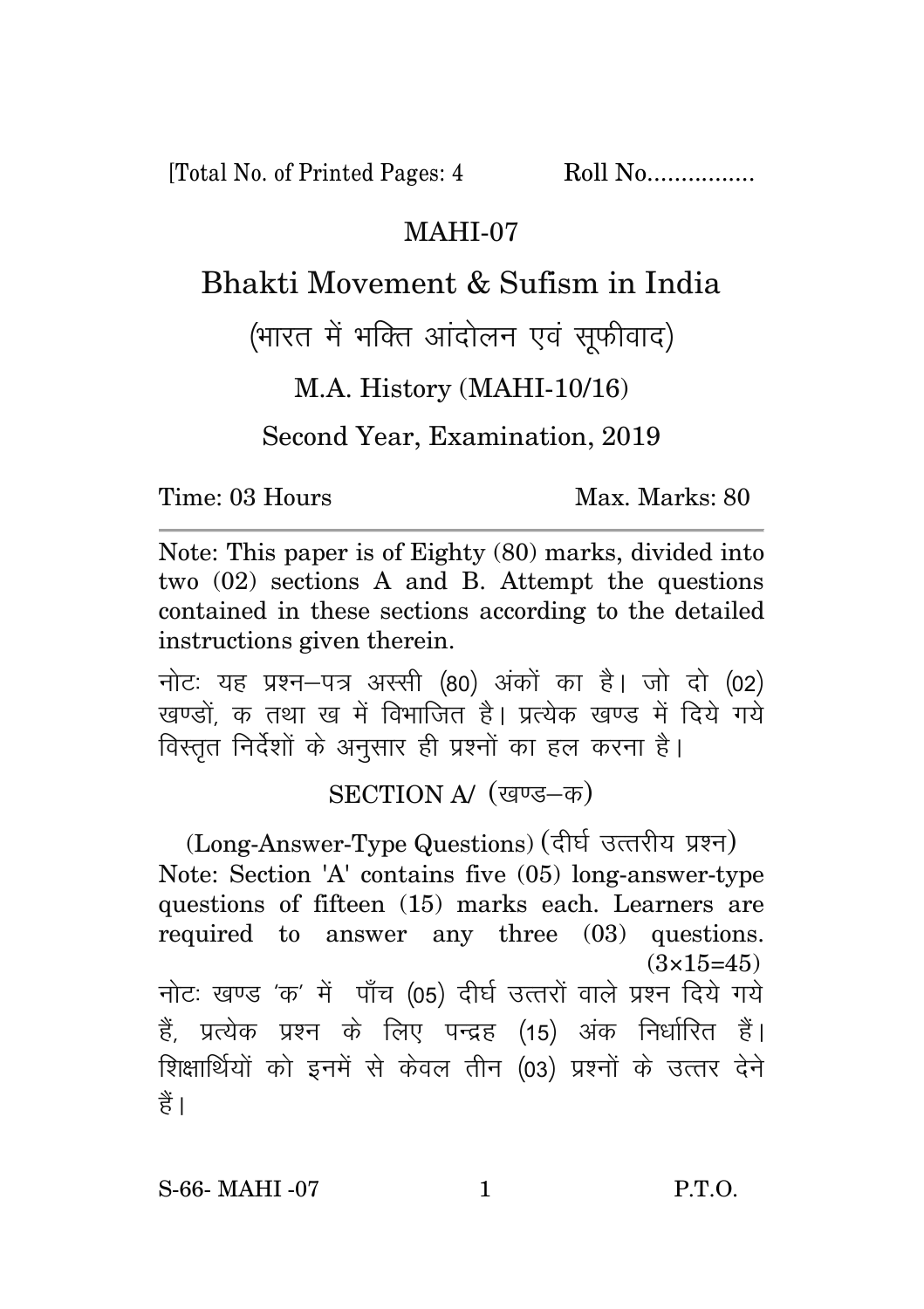[Total No. of Printed Pages: 4 Roll No.................

## MAHI-07

## Bhakti Movement & Sufism in India

(भारत में भक्ति आंदोलन एवं सफीवाद)

M.A. History (MAHI-10/16)

Second Year, Examination, 2019

Time: 03 Hours Max. Marks: 80

Note: This paper is of Eighty (80) marks, divided into two (02) sections A and B. Attempt the questions contained in these sections according to the detailed instructions given therein.

नोट: यह प्रश्न-पत्र अस्सी (80) अंकों का है। जो दो (02) खण्डों क तथा ख में विभाजित है। प्रत्येक खण्ड में दिये गये विस्तृत निर्देशों के अनुसार ही प्रश्नों का हल करना है।

## SECTION A/ (खण्ड-क)

(Long-Answer-Type Questions) (दीर्घ उत्तरीय प्रश्न) Note: Section 'A' contains five (05) long-answer-type questions of fifteen (15) marks each. Learners are required to answer any three (03) questions.  $(3\times15=45)$ नोटः खण्ड 'क' में पाँच (05) दीर्घ उत्तरों वाले प्रश्न दिये गये हैं, प्रत्येक प्रश्न के लिए पन्द्रह (15) अंक निर्धारित हैं। शिक्षार्थियों को इनमें से केवल तीन (03) प्रश्नों के उत्तर देने हैं ।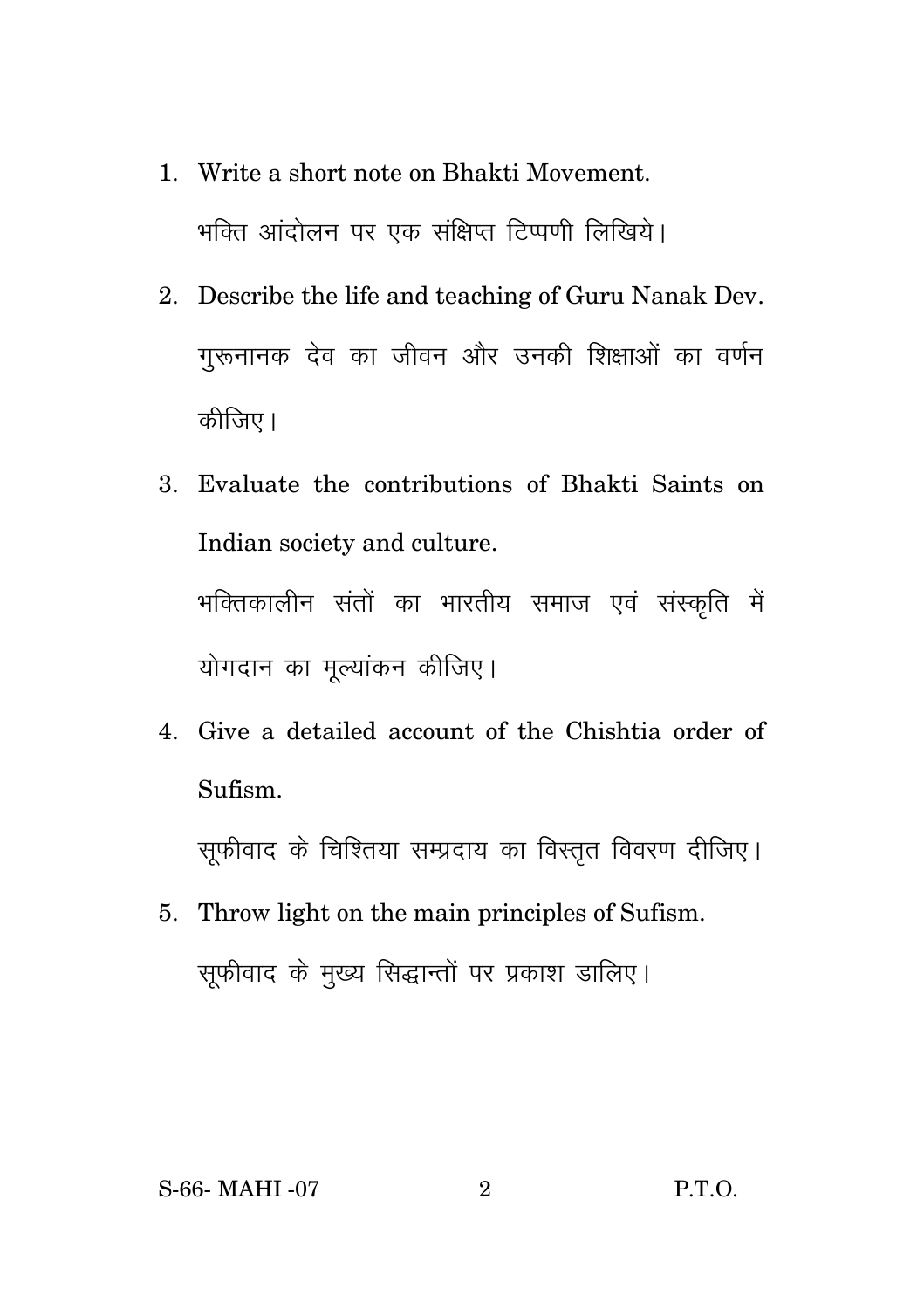- 1. Write a short note on Bhakti Movement. भक्ति आंदोलन पर एक संक्षिप्त टिप्पणी लिखिये।
- 2. Describe the life and teaching of Guru Nanak Dev. गुरूनानक देव का जीवन और उनकी शिक्षाओं का वर्णन कीजिए।
- 3. Evaluate the contributions of Bhakti Saints on Indian society and culture. भक्तिकालीन संतों का भारतीय समाज एवं संस्कृति में योगदान का मुल्यांकन कीजिए।
- 4. Give a detailed account of the Chishtia order of Sufism.

सुफीवाद के चिश्तिया सम्प्रदाय का विस्तुत विवरण दीजिए।

5. Throw light on the main principles of Sufism. सुफीवाद के मुख्य सिद्धान्तों पर प्रकाश डालिए।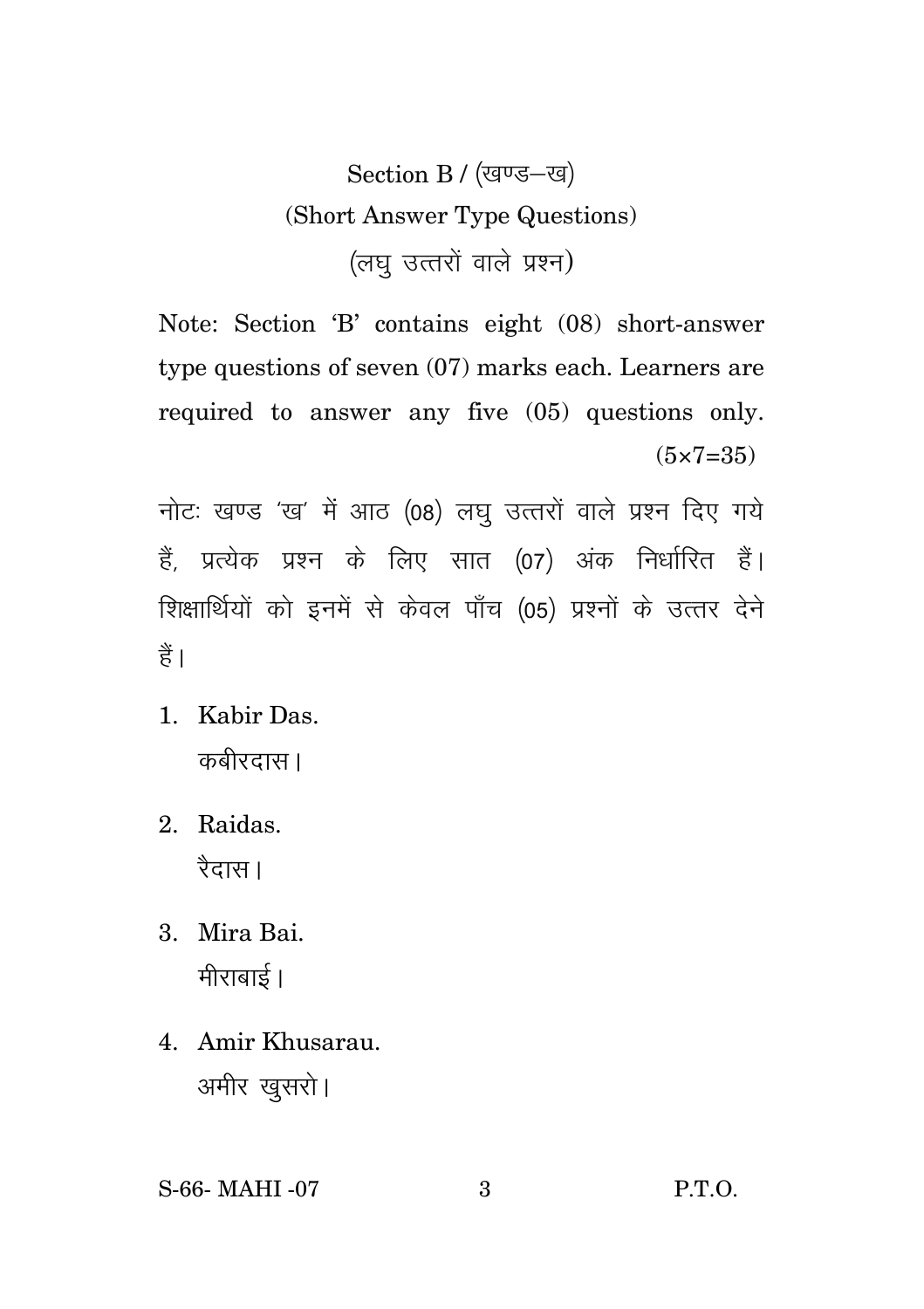Section B / (खण्ड-ख) (Short Answer Type Questions) (लघु उत्तरों वाले प्रश्न)

Note: Section 'B' contains eight (08) short-answer type questions of seven (07) marks each. Learners are required to answer any five (05) questions only.  $(5 \times 7 = 35)$ 

नोटः खण्ड 'ख' में आठ (08) लघु उत्तरों वाले प्रश्न दिए गये हैं, प्रत्येक प्रश्न के लिए सात (07) अंक निर्धारित हैं। शिक्षार्थियों को इनमें से केवल पाँच (05) प्रश्नों के उत्तर देने हैं।

- 1. Kabir Das. कबीरदास।
- 2. Raidas. रैदास।
- 3. Mira Bai. मीराबाई।
- 4. Amir Khusarau. अमीर खुसरो।
- S-66- MAHI -07 3 P.T.O.